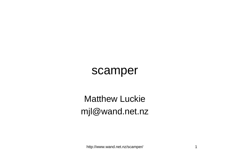### scamper

#### Matthew Luckiemjl@wand.net.nz

http://www.wand.net.nz/scamper/ 1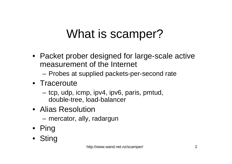# What is scamper?

- Packet prober designed for large-scale active measurement of the Internet
	- –Probes at supplied packets-per-second rate
- Traceroute
	- tcp, udp, icmp, ipv4, ipv6, paris, pmtud, double-tree, load-balancer
- Alias Resolution
	- mercator, ally, radargun
- Ping
- Sting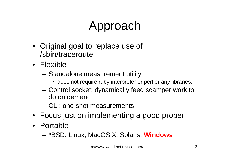# Approach

- Original goal to replace use of /sbin/traceroute
- Flexible
	- Standalone measurement utility
		- does not require ruby interpreter or perl or any libraries.
	- Control socket: dynamically feed scamper work to do on demand
	- CLI: one-shot measurements
- Focus just on implementing a good prober
- Portable
	- \*BSD, Linux, MacOS X, Solaris, **Windows**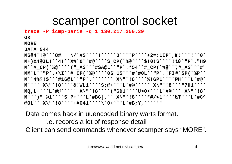## scamper control socket

**trace -P icmp-paris -q 1 130.217.250.39**

**OK**

**MORE**

**DATA 544**

 **M\$@4`!@```8#\_\_\_\/`#\$````!`````0````P````+2=:1IP`,U.(!```!``0` M+)&4@IL!``4!``X%`0``#@````S\_CP(`%@````\$!0!\$````!\*0L``"P`."H9 M``#\_CP(`%@````("\_A\$```#SA@L``"P`.\*54``#\_CP(`%@````,#\_A\$```#" MM`L``"P`.+\I``#\_CP(`%@````0\$\_1\$```#`#0L``"P`.!FI``#\_SP(`%P`` M``4%?!\$```#16@L``"P`.```````\_X\"`!8````%!GP1````PHP+```L`#@` M````\_X\"`!8````&!WL1````S;@+```L`#@`````\_X\"`!8````'"7H1```` MQ,L+```L`#@`````\_X\"`!8````("GD1````U>0+```L`#@`````\_X\"`!8` M```)"\_@1````S\_P+```L`#BG],``\_X\"`!8````\*#/<1````UT\+```L`#C^@OL``\_X\"`!8````+#O41````\`0+```L`#B;Y,```````**

Data comes back in uuencoded binary warts format.

i.e. records a lot of response detailClient can send commands whenever scamper says "MORE".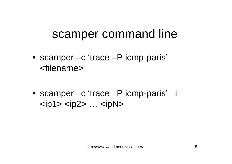## scamper command line

- scamper –c 'trace –P icmp-paris' <filename>
- scamper –c 'trace –P icmp-paris' –i  $\langle$ ip1> $\langle$ ip2> ... $\langle$ ipN>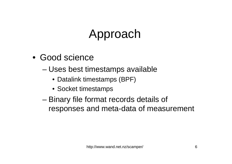# Approach

- Good science
	- – Uses best timestamps available
		- Datalink timestamps (BPF)
		- Socket timestamps
	- – Binary file format records details of responses and meta-data of measurement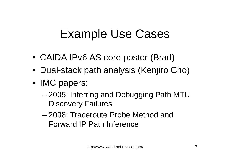## Example Use Cases

- CAIDA IPv6 AS core poster (Brad)
- Dual-stack path analysis (Kenjiro Cho)
- IMC papers:
	- – 2005: Inferring and Debugging Path MTU Discovery Failures
	- 2008: Traceroute Probe Method and Forward IP Path Inference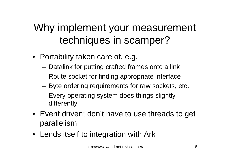## Why implement your measurement techniques in scamper?

- Portability taken care of, e.g.
	- Datalink for putting crafted frames onto a link
	- Route socket for finding appropriate interface
	- Byte ordering requirements for raw sockets, etc.
	- Every operating system does things slightly differently
- Event driven; don't have to use threads to get parallelism
- Lends itself to integration with Ark